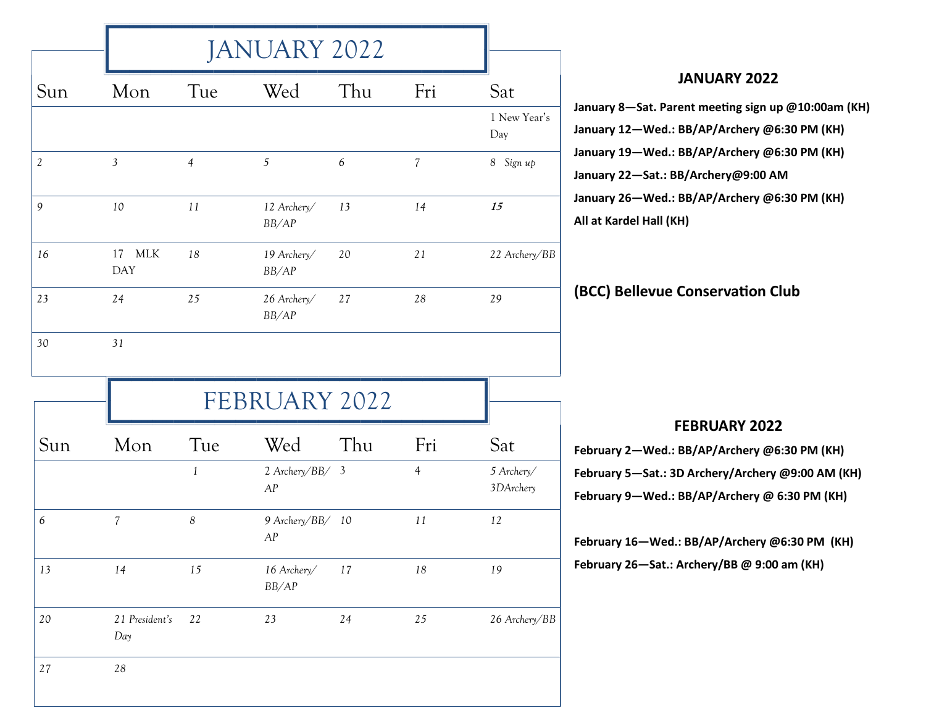|                      |                       | <b>JANUARY 2022</b> |                                 |                  |                |                         |  |  |
|----------------------|-----------------------|---------------------|---------------------------------|------------------|----------------|-------------------------|--|--|
| Sun                  | Mon                   | Tue                 | Wed                             | Thu              | Fri            | Sat                     |  |  |
|                      |                       |                     |                                 |                  |                | 1 New Year's<br>Day     |  |  |
| $\sqrt{2}$           | $\overline{3}$        | $\overline{4}$      | $\sqrt{5}$                      | $\boldsymbol{6}$ | $\overline{7}$ | 8 Sign up               |  |  |
| 9                    | 10                    | 11                  | 12 Archery/<br>BB/AP            | 13               | 14             | 15                      |  |  |
| 16                   | 17 MLK<br><b>DAY</b>  | 18                  | 19 Archery/<br>BB/AP            | 20               | 21             | 22 Archery/BB           |  |  |
| 23                   | 24                    | 25                  | 26 Archery/<br>BB/AP            | 27               | $28\,$         | 29                      |  |  |
|                      |                       |                     |                                 |                  |                |                         |  |  |
| 30                   | 31                    |                     |                                 |                  |                |                         |  |  |
|                      |                       |                     | FEBRUARY 2022                   |                  |                |                         |  |  |
|                      | Mon                   | Tue                 | Wed                             | Thu              | Fri            | Sat                     |  |  |
|                      |                       | $\mathbf{1}$        | 2 Archery/BB/ 3<br>AP           |                  | $\overline{4}$ | 5 Archery/<br>3DArchery |  |  |
|                      | $\overline{7}$        | $\boldsymbol{8}$    | 9 Archery/BB/ 10<br>${\cal AP}$ |                  | 11             | 12                      |  |  |
|                      | 14                    | 15                  | 16 Archery/<br>BB/AP            | 17               | $18\,$         | 19                      |  |  |
| Sun<br>6<br>13<br>20 | 21 President's<br>Day | 22                  | $23\,$                          | 24               | $25\,$         | 26 Archery/BB           |  |  |

## **JANUARY 2022**

 $-S$ at. Parent meeting sign up @10:00am (KH) **January 12—Wed.: BB/AP/Archery @6:30 PM (KH) January 19—Wed.: BB/AP/Archery @6:30 PM (KH) January 22—Sat.: BB/Archery@9:00 AM January 26—Wed.: BB/AP/Archery @6:30 PM (KH) Alel Hall (KH)** 

**Ellevue Conservation Club** 

## **FEBRUARY 2022**

**February 2—Wed.: BB/AP/Archery @6:30 PM (KH) February 5—Sat.: 3D Archery/Archery @9:00 AM (KH) February 9—Wed.: BB/AP/Archery @ 6:30 PM (KH)** 

**February 16—Wed.: BB/AP/Archery @6:30 PM (KH) February 26—Sat.: Archery/BB @ 9:00 am (KH)**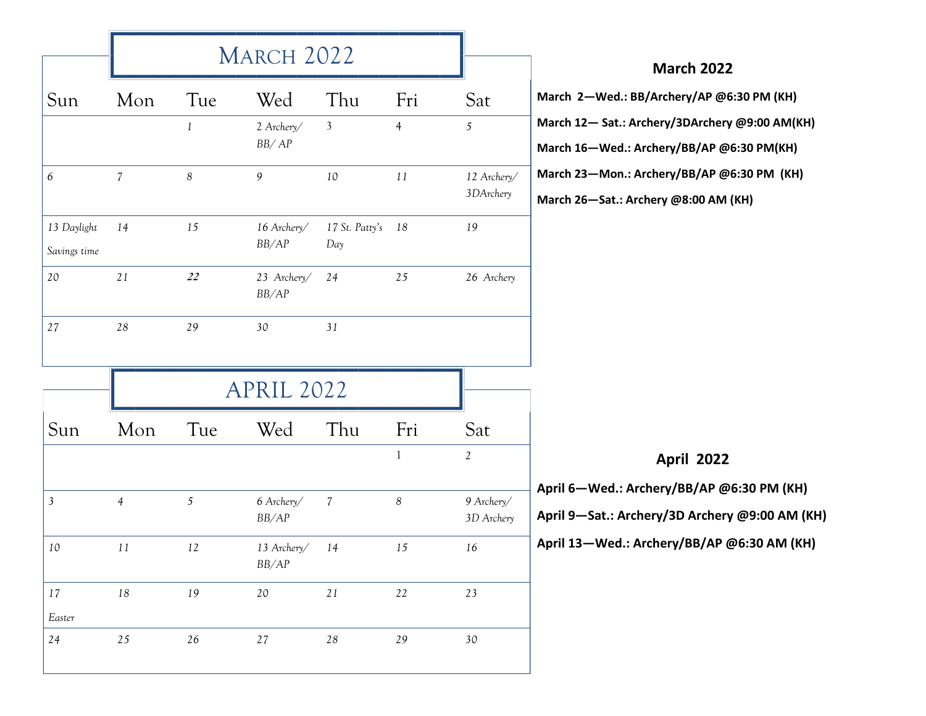|                             | MARCH 2022     |                  |                        |                       |                  |                          | <b>March 2022</b>                                                                           |
|-----------------------------|----------------|------------------|------------------------|-----------------------|------------------|--------------------------|---------------------------------------------------------------------------------------------|
| Sun                         | Mon            | Tue              | Wed                    | Thu                   | Fri              | Sat                      | March 2-Wed.: BB/Archery/AP @6:30 PM (KH)                                                   |
|                             |                | $\mathbf{1}$     | 2 Archery/<br>BB/AP    | $\overline{3}$        | $\overline{4}$   | $\mathfrak{H}$           | March 12-Sat.: Archery/3DArchery @9:00 AM(KH)<br>March 16-Wed.: Archery/BB/AP @6:30 PM(KH)  |
| 6                           | $\overline{7}$ | $\boldsymbol{8}$ | $\mathfrak{g}$         | $10\,$                | $11\,$           | 12 Archery/<br>3DArchery | March 23-Mon.: Archery/BB/AP @6:30 PM (KH)<br>March 26-Sat.: Archery @8:00 AM (KH)          |
| 13 Daylight<br>Savings time | 14             | $15\,$           | 16 Archery/<br>BB/AP   | 17 St. Patty's<br>Day | 18               | 19                       |                                                                                             |
| 20                          | $2\sqrt{1}$    | 22               | 23 Archery/<br>BB/AP   | 24                    | 25               | 26 Archery               |                                                                                             |
| $2\,7$                      | $2\sqrt{8}$    | 29               | 30                     | 31                    |                  |                          |                                                                                             |
|                             |                |                  | <b>APRIL 2022</b>      |                       |                  |                          |                                                                                             |
| Sun                         | Mon            | Tue              | Wed                    | Thu                   | Fri              | Sat                      |                                                                                             |
|                             |                |                  |                        |                       | $\mathbf{1}$     | $\mathbf{2}$             | <b>April 2022</b>                                                                           |
| $\mathfrak{Z}$              | $\overline{4}$ | $\sqrt{2}$       | 6 Archery/<br>BB/AP    | $\overline{7}$        | $\boldsymbol{8}$ | 9 Archery/<br>3D Archery | April 6-Wed.: Archery/BB/AP @6:30 PM (KH)<br>April 9-Sat.: Archery/3D Archery @9:00 AM (KH) |
| 10                          | 11             | 12               | 13 Archery/<br>$BB/AP$ | 14                    | 15               | 16                       | April 13-Wed.: Archery/BB/AP @6:30 AM (KH)                                                  |
| 17                          | $18\,$         | 19               | $20\,$                 | $21\,$                | $22\,$           | $23\,$                   |                                                                                             |
| Easter                      |                |                  |                        |                       |                  |                          |                                                                                             |
| $24$                        | 25             | $26\,$           | $27\,$                 | $28\,$                | 29               | $30\,$                   |                                                                                             |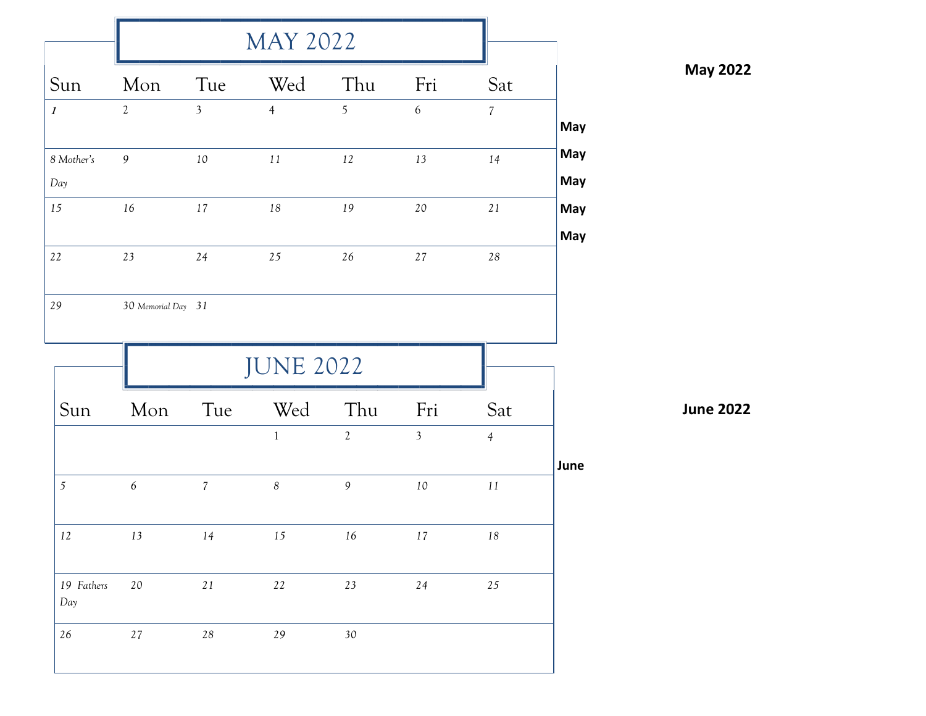| Sun               | Mon                | Tue            | Wed              | Thu            | Fri            | Sat            |            |
|-------------------|--------------------|----------------|------------------|----------------|----------------|----------------|------------|
| $\boldsymbol{l}$  | $\overline{2}$     | $\overline{3}$ | $\overline{4}$   | 5              | $\sqrt{6}$     | $\overline{7}$ | May        |
| 8 Mother's<br>Day | 9                  | 10             | $11\,$           | 12             | 13             | 14             | May<br>May |
| 15                | 16                 | 17             | $18\,$           | 19             | 20             | $2\sqrt{1}$    | May<br>May |
| 22                | $23\,$             | 24             | 25               | $26\,$         | 27             | $28\,$         |            |
|                   |                    |                |                  |                |                |                |            |
| 29                | 30 Memorial Day 31 |                |                  |                |                |                |            |
|                   |                    |                | <b>JUNE 2022</b> |                |                |                |            |
| Sun               | Mon                | Tue            | Wed              | Thu            | Fri            | Sat            |            |
|                   |                    |                | $\mathbf{1}$     | $\overline{2}$ | $\mathfrak{Z}$ | $\overline{4}$ |            |
| 5                 | $\epsilon$         | $\overline{7}$ | $\boldsymbol{8}$ | $\mathfrak{g}$ | $10\,$         | $11\,$         | June       |
| 12                | 13                 | 14             | 15               | 16             | 17             | 18             |            |
| 19 Fathers<br>Day | $20\,$             | $2\sqrt{1}$    | $22\,$           | 23             | $24\,$         | $25\,$         |            |

**May 2022**

**June 2022**